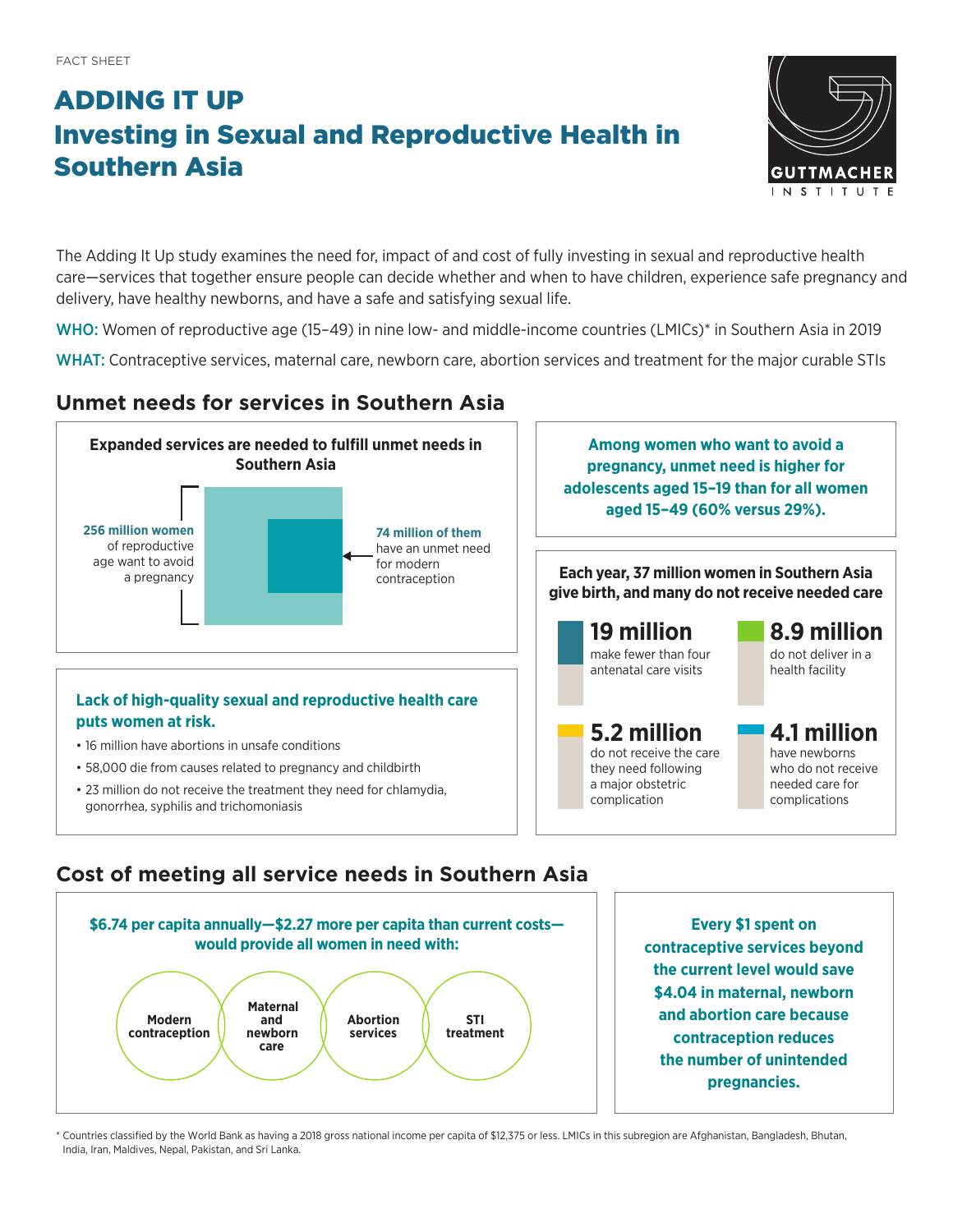# ADDING IT UP Investing in Sexual and Reproductive Health in Southern Asia



The Adding It Up study examines the need for, impact of and cost of fully investing in sexual and reproductive health care—services that together ensure people can decide whether and when to have children, experience safe pregnancy and delivery, have healthy newborns, and have a safe and satisfying sexual life.

WHO: Women of reproductive age (15-49) in nine low- and middle-income countries (LMICs)<sup>\*</sup> in Southern Asia in 2019

WHAT: Contraceptive services, maternal care, newborn care, abortion services and treatment for the major curable STIs

## **Unmet needs for services in Southern Asia**



### **Cost of meeting all service needs in Southern Asia**



**Every \$1 spent on contraceptive services beyond the current level would save \$4.04 in maternal, newborn and abortion care because contraception reduces the number of unintended pregnancies.**

\* Countries classified by the World Bank as having a 2018 gross national income per capita of \$12,375 or less. LMICs in this subregion are Afghanistan, Bangladesh, Bhutan, India, Iran, Maldives, Nepal, Pakistan, and Sri Lanka.